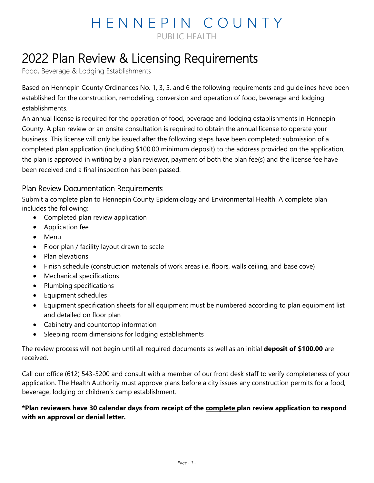### HENNEPIN COUNTY PUBLIC HEALTH

# 2022 Plan Review & Licensing Requirements<br>Food, Beverage & Lodging Establishments

Based on Hennepin County Ordinances No. 1, 3, 5, and 6 the following requirements and guidelines have been established for the construction, remodeling, conversion and operation of food, beverage and lodging establishments.

An annual license is required for the operation of food, beverage and lodging establishments in Hennepin County. A plan review or an onsite consultation is required to obtain the annual license to operate your business. This license will only be issued after the following steps have been completed: submission of a completed plan application (including \$100.00 minimum deposit) to the address provided on the application, the plan is approved in writing by a plan reviewer, payment of both the plan fee(s) and the license fee have been received and a final inspection has been passed.

#### Plan Review Documentation Requirements

Submit a complete plan to Hennepin County Epidemiology and Environmental Health. A complete plan includes the following:

- Completed plan review application
- Application fee
- Menu
- Floor plan / facility layout drawn to scale
- Plan elevations
- Finish schedule (construction materials of work areas i.e. floors, walls ceiling, and base cove)
- Mechanical specifications
- Plumbing specifications
- Equipment schedules
- Equipment specification sheets for all equipment must be numbered according to plan equipment list and detailed on floor plan
- Cabinetry and countertop information
- Sleeping room dimensions for lodging establishments

The review process will not begin until all required documents as well as an initial **deposit of \$100.00** are received.

Call our office (612) 543-5200 and consult with a member of our front desk staff to verify completeness of your application. The Health Authority must approve plans before a city issues any construction permits for a food, beverage, lodging or children's camp establishment.

#### **\*Plan reviewers have 30 calendar days from receipt of the complete plan review application to respond with an approval or denial letter.**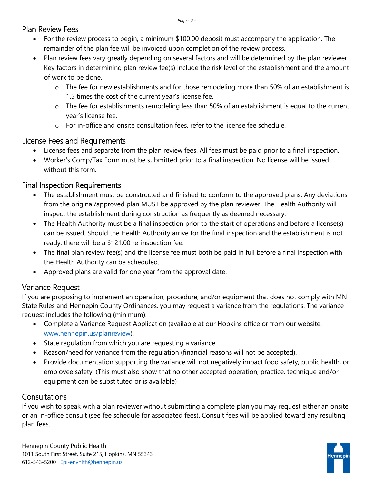#### Plan Review Fees

- For the review process to begin, a minimum \$100.00 deposit must accompany the application. The remainder of the plan fee will be invoiced upon completion of the review process.
- Plan review fees vary greatly depending on several factors and will be determined by the plan reviewer. Key factors in determining plan review fee(s) include the risk level of the establishment and the amount of work to be done.
	- o The fee for new establishments and for those remodeling more than 50% of an establishment is 1.5 times the cost of the current year's license fee.
	- o The fee for establishments remodeling less than 50% of an establishment is equal to the current year's license fee.
	- o For in-office and onsite consultation fees, refer to the license fee schedule.

### License Fees and Requirements

- License fees and separate from the plan review fees. All fees must be paid prior to a final inspection.
- Worker's Comp/Tax Form must be submitted prior to a final inspection. No license will be issued without this form.

### Final Inspection Requirements

- The establishment must be constructed and finished to conform to the approved plans. Any deviations from the original/approved plan MUST be approved by the plan reviewer. The Health Authority will inspect the establishment during construction as frequently as deemed necessary.
- The Health Authority must be a final inspection prior to the start of operations and before a license(s) can be issued. Should the Health Authority arrive for the final inspection and the establishment is not ready, there will be a \$121.00 re-inspection fee.
- The final plan review fee(s) and the license fee must both be paid in full before a final inspection with the Health Authority can be scheduled.
- Approved plans are valid for one year from the approval date.

### Variance Request

If you are proposing to implement an operation, procedure, and/or equipment that does not comply with MN State Rules and Hennepin County Ordinances, you may request a variance from the regulations. The variance request includes the following (minimum):

- Complete a Variance Request Application (available at our Hopkins office or from our website: [www.hennepin.us/planreview\)](http://www.hennepin.us/planreview).
- State regulation from which you are requesting a variance.
- Reason/need for variance from the regulation (financial reasons will not be accepted).
- Provide documentation supporting the variance will not negatively impact food safety, public health, or employee safety. (This must also show that no other accepted operation, practice, technique and/or equipment can be substituted or is available)

#### **Consultations**

If you wish to speak with a plan reviewer without submitting a complete plan you may request either an onsite or an in-office consult (see fee schedule for associated fees). Consult fees will be applied toward any resulting plan fees.

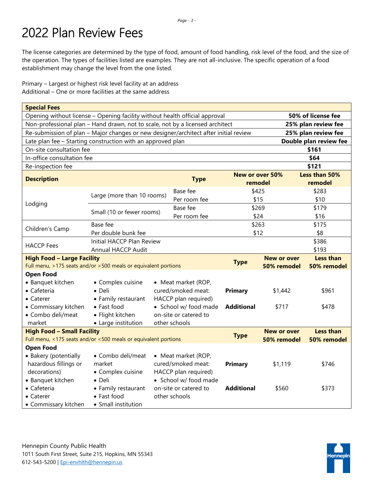# 2022 Plan Review Fees

The license categories are determined by the type of food, amount of food handling, risk level of the food, and the size of the operation. The types of facilities listed are examples. They are not all-inclusive. The specific operation of a food establishment may change the level from the one listed.

Primary – Largest or highest risk level facility at an address Additional – One or more facilities at the same address

| <b>Special Fees</b>                                                                                  |                                                                                                             |  |                                                |                   |                    |                        |
|------------------------------------------------------------------------------------------------------|-------------------------------------------------------------------------------------------------------------|--|------------------------------------------------|-------------------|--------------------|------------------------|
| Opening without license - Opening facility without health official approval<br>50% of license fee    |                                                                                                             |  |                                                |                   |                    |                        |
| Non-professional plan - Hand drawn, not to scale, not by a licensed architect<br>25% plan review fee |                                                                                                             |  |                                                |                   |                    |                        |
|                                                                                                      | Re-submission of plan - Major changes or new designer/architect after initial review<br>25% plan review fee |  |                                                |                   |                    |                        |
| Late plan fee - Starting construction with an approved plan                                          |                                                                                                             |  |                                                |                   |                    | Double plan review fee |
| On-site consultation fee                                                                             |                                                                                                             |  |                                                |                   |                    | \$161                  |
| In-office consultation fee                                                                           |                                                                                                             |  |                                                |                   |                    | \$64                   |
| Re-inspection fee                                                                                    |                                                                                                             |  |                                                |                   |                    | \$121                  |
| <b>Description</b>                                                                                   |                                                                                                             |  | <b>Type</b>                                    | New or over 50%   |                    | Less than 50%          |
|                                                                                                      |                                                                                                             |  |                                                | remodel           |                    | remodel                |
|                                                                                                      | Large (more than 10 rooms)                                                                                  |  | Base fee                                       | \$425             |                    | \$283                  |
| Lodging                                                                                              |                                                                                                             |  | Per room fee                                   | \$15              |                    | \$10                   |
|                                                                                                      | Small (10 or fewer rooms)                                                                                   |  | Base fee                                       | \$269             |                    | \$179                  |
|                                                                                                      |                                                                                                             |  | Per room fee                                   | \$24              |                    | \$16                   |
| Children's Camp                                                                                      | Base fee                                                                                                    |  |                                                | \$263             |                    | \$175                  |
|                                                                                                      | Per double bunk fee                                                                                         |  |                                                | \$12              |                    | \$8                    |
| <b>HACCP Fees</b>                                                                                    | Initial HACCP Plan Review                                                                                   |  |                                                |                   |                    | \$386                  |
|                                                                                                      | Annual HACCP Audit                                                                                          |  |                                                |                   |                    | \$193                  |
| <b>High Food - Large Facility</b>                                                                    |                                                                                                             |  |                                                | <b>Type</b>       | <b>New or over</b> | <b>Less than</b>       |
| Full menu, >175 seats and/or >500 meals or equivalent portions                                       |                                                                                                             |  |                                                |                   | 50% remodel        | 50% remodel            |
| <b>Open Food</b>                                                                                     |                                                                                                             |  |                                                |                   |                    |                        |
| • Banquet kitchen                                                                                    | • Complex cuisine                                                                                           |  | • Meat market (ROP,                            |                   |                    |                        |
| • Cafeteria                                                                                          | • Deli                                                                                                      |  | cured/smoked meat:                             | <b>Primary</b>    | \$1,442            | \$961                  |
| • Caterer                                                                                            | • Family restaurant                                                                                         |  | HACCP plan required)                           |                   |                    |                        |
| • Commissary kitchen                                                                                 | • Fast food                                                                                                 |  | • School w/ food made<br>on-site or catered to | <b>Additional</b> | \$717              | \$478                  |
| • Combo deli/meat<br>market                                                                          | · Flight kitchen                                                                                            |  |                                                |                   |                    |                        |
| <b>High Food - Small Facility</b>                                                                    | • Large institution                                                                                         |  | other schools                                  |                   | <b>New or over</b> | <b>Less than</b>       |
| Full menu, <175 seats and/or <500 meals or equivalent portions                                       |                                                                                                             |  |                                                | <b>Type</b>       | 50% remodel        | 50% remodel            |
| <b>Open Food</b>                                                                                     |                                                                                                             |  |                                                |                   |                    |                        |
| • Bakery (potentially                                                                                | • Combo deli/meat                                                                                           |  | • Meat market (ROP,                            |                   |                    |                        |
| hazardous fillings or                                                                                | market                                                                                                      |  | cured/smoked meat:                             | <b>Primary</b>    | \$1,119            | \$746                  |
| decorations)                                                                                         | • Complex cuisine                                                                                           |  | HACCP plan required)                           |                   |                    |                        |
| • Banquet kitchen                                                                                    | • Deli                                                                                                      |  | • School w/ food made                          |                   |                    |                        |
| • Cafeteria                                                                                          | • Family restaurant                                                                                         |  | on-site or catered to                          | <b>Additional</b> | \$560              | \$373                  |
| $\bullet$ Caterer                                                                                    | • Fast food                                                                                                 |  | other schools                                  |                   |                    |                        |
| • Commissary kitchen                                                                                 | • Small institution                                                                                         |  |                                                |                   |                    |                        |

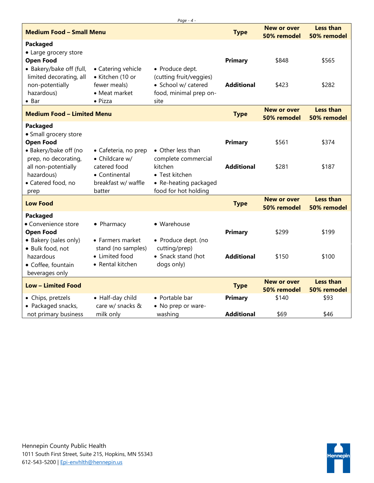|                                                                                                        |                                                                | Page $-4 -$                                                                      |                   |                                   |                                 |
|--------------------------------------------------------------------------------------------------------|----------------------------------------------------------------|----------------------------------------------------------------------------------|-------------------|-----------------------------------|---------------------------------|
| <b>Medium Food - Small Menu</b>                                                                        |                                                                |                                                                                  | <b>Type</b>       | <b>New or over</b><br>50% remodel | <b>Less than</b><br>50% remodel |
| <b>Packaged</b><br>• Large grocery store<br><b>Open Food</b><br>• Bakery/bake off (full,               | • Catering vehicle                                             | • Produce dept.                                                                  | <b>Primary</b>    | \$848                             | \$565                           |
| limited decorating, all<br>non-potentially<br>hazardous)<br>$\bullet$ Bar                              | · Kitchen (10 or<br>fewer meals)<br>• Meat market<br>• Pizza   | (cutting fruit/veggies)<br>· School w/ catered<br>food, minimal prep on-<br>site | <b>Additional</b> | \$423                             | \$282                           |
| <b>Medium Food - Limited Menu</b>                                                                      |                                                                |                                                                                  | <b>Type</b>       | <b>New or over</b><br>50% remodel | <b>Less than</b><br>50% remodel |
| Packaged<br>• Small grocery store<br><b>Open Food</b><br>· Bakery/bake off (no<br>prep, no decorating, | • Cafeteria, no prep<br>• Childcare w/                         | • Other less than<br>complete commercial                                         | <b>Primary</b>    | \$561                             | \$374                           |
| all non-potentially<br>hazardous)<br>• Catered food, no<br>prep                                        | catered food<br>• Continental<br>breakfast w/ waffle<br>batter | kitchen<br>• Test kitchen<br>• Re-heating packaged<br>food for hot holding       | <b>Additional</b> | \$281                             | \$187                           |
| <b>Low Food</b>                                                                                        |                                                                |                                                                                  | <b>Type</b>       | <b>New or over</b><br>50% remodel | <b>Less than</b><br>50% remodel |
| Packaged<br>• Convenience store<br><b>Open Food</b><br>• Bakery (sales only)<br>· Bulk food, not       | • Pharmacy<br>• Farmers market<br>stand (no samples)           | • Warehouse<br>• Produce dept. (no<br>cutting/prep)                              | <b>Primary</b>    | \$299                             | \$199                           |
| hazardous<br>· Coffee, fountain<br>beverages only                                                      | • Limited food<br>• Rental kitchen                             | • Snack stand (hot<br>dogs only)                                                 | <b>Additional</b> | \$150                             | \$100                           |
| <b>Low - Limited Food</b>                                                                              |                                                                |                                                                                  | <b>Type</b>       | <b>New or over</b><br>50% remodel | <b>Less than</b><br>50% remodel |
| • Chips, pretzels<br>• Packaged snacks,                                                                | • Half-day child<br>care w/ snacks &                           | • Portable bar<br>• No prep or ware-                                             | <b>Primary</b>    | \$140                             | \$93                            |
| not primary business                                                                                   | milk only                                                      | washing                                                                          | <b>Additional</b> | \$69                              | \$46                            |

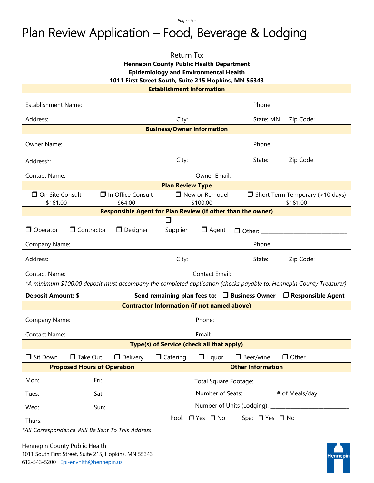#### *Page - 5 -*

## Plan Review Application – Food, Beverage & Lodging

Return To:

**Hennepin County Public Health Department**

**Epidemiology and Environmental Health**

**1011 First Street South, Suite 215 Hopkins, MN 55343**

| <b>Establishment Information</b>                               |                   |                                                                    |                         |                                                    |                                             |                                                                                                                     |
|----------------------------------------------------------------|-------------------|--------------------------------------------------------------------|-------------------------|----------------------------------------------------|---------------------------------------------|---------------------------------------------------------------------------------------------------------------------|
| <b>Establishment Name:</b>                                     |                   |                                                                    |                         |                                                    | Phone:                                      |                                                                                                                     |
| Address:                                                       |                   |                                                                    | City:                   |                                                    | State: MN                                   | Zip Code:                                                                                                           |
| <b>Business/Owner Information</b>                              |                   |                                                                    |                         |                                                    |                                             |                                                                                                                     |
| Owner Name:                                                    |                   |                                                                    |                         |                                                    | Phone:                                      |                                                                                                                     |
| Address*:                                                      |                   |                                                                    | City:                   |                                                    | State:                                      | Zip Code:                                                                                                           |
| <b>Contact Name:</b>                                           |                   |                                                                    |                         | Owner Email:                                       |                                             |                                                                                                                     |
|                                                                |                   |                                                                    | <b>Plan Review Type</b> |                                                    |                                             |                                                                                                                     |
| On Site Consult<br>\$161.00                                    |                   | In Office Consult<br>\$64.00                                       |                         | New or Remodel<br>\$100.00                         |                                             | $\Box$ Short Term Temporary (>10 days)<br>\$161.00                                                                  |
|                                                                |                   | <b>Responsible Agent for Plan Review (if other than the owner)</b> |                         |                                                    |                                             |                                                                                                                     |
|                                                                |                   |                                                                    | ⊓                       |                                                    |                                             |                                                                                                                     |
| $\Box$ Operator                                                | $\Box$ Contractor | $\Box$ Designer                                                    | Supplier                | $\Box$ Agent                                       | $\Box$ Other: _____                         |                                                                                                                     |
| Company Name:                                                  |                   |                                                                    |                         |                                                    | Phone:                                      |                                                                                                                     |
| Address:                                                       |                   |                                                                    | City:                   |                                                    | State:                                      | Zip Code:                                                                                                           |
| Contact Name:                                                  |                   |                                                                    |                         | Contact Email:                                     |                                             |                                                                                                                     |
|                                                                |                   |                                                                    |                         |                                                    |                                             | *A minimum \$100.00 deposit must accompany the completed application (checks payable to: Hennepin County Treasurer) |
| Deposit Amount: \$                                             |                   |                                                                    |                         |                                                    |                                             | Send remaining plan fees to: $\Box$ Business Owner $\Box$ Responsible Agent                                         |
|                                                                |                   |                                                                    |                         | <b>Contractor Information (if not named above)</b> |                                             |                                                                                                                     |
| Company Name:                                                  |                   |                                                                    |                         | Phone:                                             |                                             |                                                                                                                     |
| <b>Contact Name:</b>                                           |                   |                                                                    |                         | Email:                                             |                                             |                                                                                                                     |
| Type(s) of Service (check all that apply)                      |                   |                                                                    |                         |                                                    |                                             |                                                                                                                     |
| □ Sit Down                                                     | $\Box$ Take Out   | $\Box$ Delivery                                                    | $\Box$ Catering         | $\Box$ Liquor                                      | $\Box$ Beer/wine                            | $\Box$ Other                                                                                                        |
| <b>Other Information</b><br><b>Proposed Hours of Operation</b> |                   |                                                                    |                         |                                                    |                                             |                                                                                                                     |
| Mon:                                                           | Fri:              |                                                                    |                         |                                                    | Total Square Footage: ____________________  |                                                                                                                     |
| Tues:                                                          | Sat:              |                                                                    |                         |                                                    | Number of Seats: _________ # of Meals/day:_ |                                                                                                                     |
| Wed:                                                           | Sun:              |                                                                    |                         |                                                    |                                             |                                                                                                                     |
| Thurs:                                                         |                   |                                                                    |                         | Pool: □ Yes □ No                                   | Spa: □ Yes □ No                             |                                                                                                                     |

*\*All Correspondence Will Be Sent To This Address* 

Hennepin County Public Health 1011 South First Street, Suite 215, Hopkins, MN 55343 612-543-5200 | [Epi-envhlth@hennepin.us](mailto:Epi-envhlth@hennepin.us)